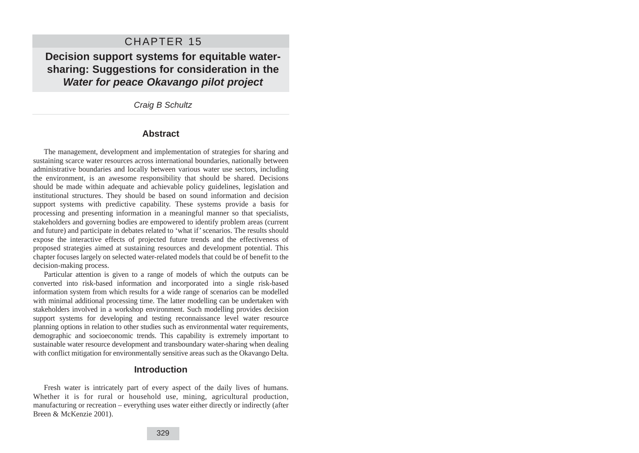# CHAPTER 15

**Decision support systems for equitable watersharing: Suggestions for consideration in the Water for peace Okavango pilot project**

Craig B Schultz

### **Abstract**

The management, development and implementation of strategies for sharing and sustaining scarce water resources across international boundaries, nationally between administrative boundaries and locally between various water use sectors, including the environment, is an awesome responsibility that should be shared. Decisions should be made within adequate and achievable policy guidelines, legislation and institutional structures. They should be based on sound information and decision support systems with predictive capability. These systems provide a basis for processing and presenting information in a meaningful manner so that specialists, stakeholders and governing bodies are empowered to identify problem areas (current and future) and participate in debates related to 'what if' scenarios. The results should expose the interactive effects of projected future trends and the effectiveness of proposed strategies aimed at sustaining resources and development potential. This chapter focuses largely on selected water-related models that could be of benefit to the decision-making process.

Particular attention is given to a range of models of which the outputs can be converted into risk-based information and incorporated into a single risk-based information system from which results for a wide range of scenarios can be modelled with minimal additional processing time. The latter modelling can be undertaken with stakeholders involved in a workshop environment. Such modelling provides decision support systems for developing and testing reconnaissance level water resource planning options in relation to other studies such as environmental water requirements, demographic and socioeconomic trends. This capability is extremely important to sustainable water resource development and transboundary water-sharing when dealing with conflict mitigation for environmentally sensitive areas such as the Okavango Delta.

### **Introduction**

Fresh water is intricately part of every aspect of the daily lives of humans. Whether it is for rural or household use, mining, agricultural production, manufacturing or recreation – everything uses water either directly or indirectly (after Breen & McKenzie 2001).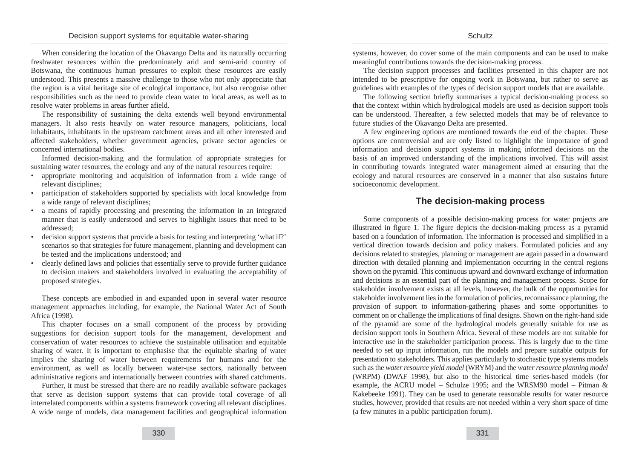When considering the location of the Okavango Delta and its naturally occurring freshwater resources within the predominately arid and semi-arid country of Botswana, the continuous human pressures to exploit these resources are easily understood. This presents a massive challenge to those who not only appreciate that the region is a vital heritage site of ecological importance, but also recognise other responsibilities such as the need to provide clean water to local areas, as well as to resolve water problems in areas further afield.

The responsibility of sustaining the delta extends well beyond environmental managers. It also rests heavily on water resource managers, politicians, local inhabitants, inhabitants in the upstream catchment areas and all other interested and affected stakeholders, whether government agencies, private sector agencies or concerned international bodies.

Informed decision-making and the formulation of appropriate strategies for sustaining water resources, the ecology and any of the natural resources require:

- appropriate monitoring and acquisition of information from a wide range of relevant disciplines;
- participation of stakeholders supported by specialists with local knowledge from a wide range of relevant disciplines;
- a means of rapidly processing and presenting the information in an integrated manner that is easily understood and serves to highlight issues that need to be addressed;
- decision support systems that provide a basis for testing and interpreting 'what if?' scenarios so that strategies for future management, planning and development can be tested and the implications understood; and
- clearly defined laws and policies that essentially serve to provide further guidance to decision makers and stakeholders involved in evaluating the acceptability of proposed strategies.

These concepts are embodied in and expanded upon in several water resource management approaches including, for example, the National Water Act of South Africa (1998).

This chapter focuses on a small component of the process by providing suggestions for decision support tools for the management, development and conservation of water resources to achieve the sustainable utilisation and equitable sharing of water. It is important to emphasise that the equitable sharing of water implies the sharing of water between requirements for humans and for the environment, as well as locally between water-use sectors, nationally between administrative regions and internationally between countries with shared catchments.

Further, it must be stressed that there are no readily available software packages that serve as decision support systems that can provide total coverage of all interrelated components within a systems framework covering all relevant disciplines. A wide range of models, data management facilities and geographical information systems, however, do cover some of the main components and can be used to make meaningful contributions towards the decision-making process.

The decision support processes and facilities presented in this chapter are not intended to be prescriptive for ongoing work in Botswana, but rather to serve as guidelines with examples of the types of decision support models that are available.

The following section briefly summarises a typical decision-making process so that the context within which hydrological models are used as decision support tools can be understood. Thereafter, a few selected models that may be of relevance to future studies of the Okavango Delta are presented.

A few engineering options are mentioned towards the end of the chapter. These options are controversial and are only listed to highlight the importance of good information and decision support systems in making informed decisions on the basis of an improved understanding of the implications involved. This will assist in contributing towards integrated water management aimed at ensuring that the ecology and natural resources are conserved in a manner that also sustains future socioeconomic development.

## **The decision-making process**

Some components of a possible decision-making process for water projects are illustrated in figure 1. The figure depicts the decision-making process as a pyramid based on a foundation of information. The information is processed and simplified in a vertical direction towards decision and policy makers. Formulated policies and any decisions related to strategies, planning or management are again passed in a downward direction with detailed planning and implementation occurring in the central regions shown on the pyramid. This continuous upward and downward exchange of information and decisions is an essential part of the planning and management process. Scope for stakeholder involvement exists at all levels, however, the bulk of the opportunities for stakeholder involvement lies in the formulation of policies, reconnaissance planning, the provision of support to information-gathering phases and some opportunities to comment on or challenge the implications of final designs. Shown on the right-hand side of the pyramid are some of the hydrological models generally suitable for use as decision support tools in Southern Africa. Several of these models are not suitable for interactive use in the stakeholder participation process. This is largely due to the time needed to set up input information, run the models and prepare suitable outputs for presentation to stakeholders. This applies particularly to stochastic type systems models such as the *water resource yield model* (WRYM) and the *water resource planning model* (WRPM) (DWAF 1998), but also to the historical time series-based models (for example, the ACRU model – Schulze 1995; and the WRSM90 model – Pitman  $\&$ Kakebeeke 1991). They can be used to generate reasonable results for water resource studies, however, provided that results are not needed within a very short space of time (a few minutes in a public participation forum).

331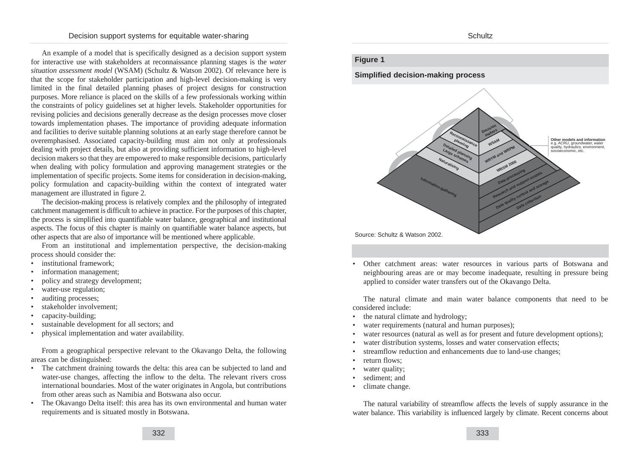An example of a model that is specifically designed as a decision support system for interactive use with stakeholders at reconnaissance planning stages is the *water situation assessment model* (WSAM) (Schultz & Watson 2002). Of relevance here is that the scope for stakeholder participation and high-level decision-making is very limited in the final detailed planning phases of project designs for construction purposes. More reliance is placed on the skills of a few professionals working within the constraints of policy guidelines set at higher levels. Stakeholder opportunities for revising policies and decisions generally decrease as the design processes move closer towards implementation phases. The importance of providing adequate information and facilities to derive suitable planning solutions at an early stage therefore cannot be overemphasised. Associated capacity-building must aim not only at professionals dealing with project details, but also at providing sufficient information to high-level decision makers so that they are empowered to make responsible decisions, particularly when dealing with policy formulation and approving management strategies or the implementation of specific projects. Some items for consideration in decision-making, policy formulation and capacity-building within the context of integrated water management are illustrated in figure 2.

The decision-making process is relatively complex and the philosophy of integrated catchment management is difficult to achieve in practice. For the purposes of this chapter, the process is simplified into quantifiable water balance, geographical and institutional aspects. The focus of this chapter is mainly on quantifiable water balance aspects, but other aspects that are also of importance will be mentioned where applicable.

From an institutional and implementation perspective, the decision-making process should consider the:

- institutional framework:
- information management;
- policy and strategy development;
- water-use regulation;
- auditing processes;
- stakeholder involvement;
- capacity-building;
- sustainable development for all sectors; and
- physical implementation and water availability.

From a geographical perspective relevant to the Okavango Delta, the following areas can be distinguished:

- The catchment draining towards the delta: this area can be subjected to land and water-use changes, affecting the inflow to the delta. The relevant rivers cross international boundaries. Most of the water originates in Angola, but contributions from other areas such as Namibia and Botswana also occur.
- The Okavango Delta itself: this area has its own environmental and human water requirements and is situated mostly in Botswana.

#### Schultz

## **Figure 1**

**Simplified decision-making process** 



• Other catchment areas: water resources in various parts of Botswana and neighbouring areas are or may become inadequate, resulting in pressure being applied to consider water transfers out of the Okavango Delta.

The natural climate and main water balance components that need to be considered include:

- the natural climate and hydrology;
- water requirements (natural and human purposes);
- water resources (natural as well as for present and future development options);
- water distribution systems, losses and water conservation effects;
- streamflow reduction and enhancements due to land-use changes;
- return flows:
- water quality:
- sediment; and
- climate change.

The natural variability of streamflow affects the levels of supply assurance in the water balance. This variability is influenced largely by climate. Recent concerns about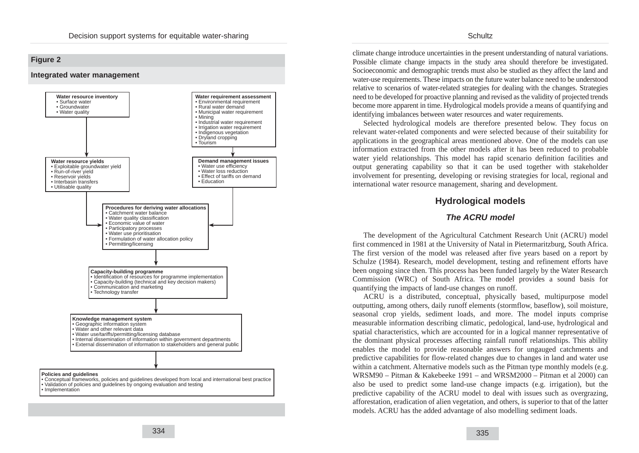## **Figure 2**





climate change introduce uncertainties in the present understanding of natural variations. Possible climate change impacts in the study area should therefore be investigated. Socioeconomic and demographic trends must also be studied as they affect the land and water-use requirements. These impacts on the future water balance need to be understood relative to scenarios of water-related strategies for dealing with the changes. Strategies need to be developed for proactive planning and revised as the validity of projected trends become more apparent in time. Hydrological models provide a means of quantifying and identifying imbalances between water resources and water requirements.

Selected hydrological models are therefore presented below. They focus on relevant water-related components and were selected because of their suitability for applications in the geographical areas mentioned above. One of the models can use information extracted from the other models after it has been reduced to probable water yield relationships. This model has rapid scenario definition facilities and output generating capability so that it can be used together with stakeholder involvement for presenting, developing or revising strategies for local, regional and international water resource management, sharing and development.

## **Hydrological models**

## **The ACRU model**

The development of the Agricultural Catchment Research Unit (ACRU) model first commenced in 1981 at the University of Natal in Pietermaritzburg, South Africa. The first version of the model was released after five years based on a report by Schulze (1984). Research, model development, testing and refinement efforts have been ongoing since then. This process has been funded largely by the Water Research Commission (WRC) of South Africa. The model provides a sound basis for quantifying the impacts of land-use changes on runoff.

ACRU is a distributed, conceptual, physically based, multipurpose model outputting, among others, daily runoff elements (stormflow, baseflow), soil moisture, seasonal crop yields, sediment loads, and more. The model inputs comprise measurable information describing climatic, pedological, land-use, hydrological and spatial characteristics, which are accounted for in a logical manner representative of the dominant physical processes affecting rainfall runoff relationships. This ability enables the model to provide reasonable answers for ungauged catchments and predictive capabilities for flow-related changes due to changes in land and water use within a catchment. Alternative models such as the Pitman type monthly models (e.g. WRSM90 – Pitman & Kakebeeke 1991 – and WRSM2000 – Pitman et al 2000) can also be used to predict some land-use change impacts (e.g. irrigation), but the predictive capability of the ACRU model to deal with issues such as overgrazing, afforestation, eradication of alien vegetation, and others, is superior to that of the latter models. ACRU has the added advantage of also modelling sediment loads.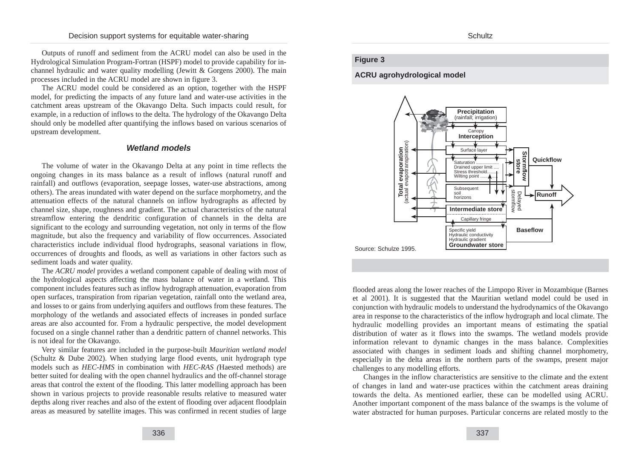Outputs of runoff and sediment from the ACRU model can also be used in the Hydrological Simulation Program-Fortran (HSPF) model to provide capability for inchannel hydraulic and water quality modelling (Jewitt & Gorgens 2000). The main processes included in the ACRU model are shown in figure 3.

The ACRU model could be considered as an option, together with the HSPF model, for predicting the impacts of any future land and water-use activities in the catchment areas upstream of the Okavango Delta. Such impacts could result, for example, in a reduction of inflows to the delta. The hydrology of the Okavango Delta should only be modelled after quantifying the inflows based on various scenarios of upstream development.

## **Wetland models**

The volume of water in the Okavango Delta at any point in time reflects the ongoing changes in its mass balance as a result of inflows (natural runoff and rainfall) and outflows (evaporation, seepage losses, water-use abstractions, among others). The areas inundated with water depend on the surface morphometry, and the attenuation effects of the natural channels on inflow hydrographs as affected by channel size, shape, roughness and gradient. The actual characteristics of the natural streamflow entering the dendritic configuration of channels in the delta are significant to the ecology and surrounding vegetation, not only in terms of the flow magnitude, but also the frequency and variability of flow occurrences. Associated characteristics include individual flood hydrographs, seasonal variations in flow, occurrences of droughts and floods, as well as variations in other factors such as sediment loads and water quality.

The *ACRU model* provides a wetland component capable of dealing with most of the hydrological aspects affecting the mass balance of water in a wetland. This component includes features such as inflow hydrograph attenuation, evaporation from open surfaces, transpiration from riparian vegetation, rainfall onto the wetland area, and losses to or gains from underlying aquifers and outflows from these features. The morphology of the wetlands and associated effects of increases in ponded surface areas are also accounted for. From a hydraulic perspective, the model development focused on a single channel rather than a dendritic pattern of channel networks. This is not ideal for the Okavango.

Very similar features are included in the purpose-built *Mauritian wetland model* (Schultz & Dube 2002). When studying large flood events, unit hydrograph type models such as *HEC-HMS* in combination with *HEC-RAS (*Haested methods) are better suited for dealing with the open channel hydraulics and the off-channel storage areas that control the extent of the flooding. This latter modelling approach has been shown in various projects to provide reasonable results relative to measured water depths along river reaches and also of the extent of flooding over adjacent floodplain areas as measured by satellite images. This was confirmed in recent studies of large

## **Figure 3**

#### **ACRU agrohydrological model**



flooded areas along the lower reaches of the Limpopo River in Mozambique (Barnes et al 2001). It is suggested that the Mauritian wetland model could be used in conjunction with hydraulic models to understand the hydrodynamics of the Okavango area in response to the characteristics of the inflow hydrograph and local climate. The hydraulic modelling provides an important means of estimating the spatial distribution of water as it flows into the swamps. The wetland models provide information relevant to dynamic changes in the mass balance. Complexities associated with changes in sediment loads and shifting channel morphometry, especially in the delta areas in the northern parts of the swamps, present major challenges to any modelling efforts.

Changes in the inflow characteristics are sensitive to the climate and the extent of changes in land and water-use practices within the catchment areas draining towards the delta. As mentioned earlier, these can be modelled using ACRU. Another important component of the mass balance of the swamps is the volume of water abstracted for human purposes. Particular concerns are related mostly to the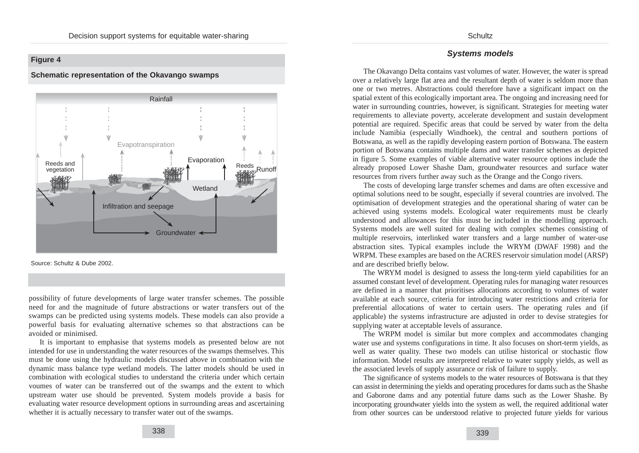## **Figure 4**

#### **Schematic representation of the Okavango swamps**



Source: Schultz & Dube 2002.

possibility of future developments of large water transfer schemes. The possible need for and the magnitude of future abstractions or water transfers out of the swamps can be predicted using systems models. These models can also provide a powerful basis for evaluating alternative schemes so that abstractions can be avoided or minimised.

It is important to emphasise that systems models as presented below are not intended for use in understanding the water resources of the swamps themselves. This must be done using the hydraulic models discussed above in combination with the dynamic mass balance type wetland models. The latter models should be used in combination with ecological studies to understand the criteria under which certain voumes of water can be transferred out of the swamps and the extent to which upstream water use should be prevented. System models provide a basis for evaluating water resource development options in surrounding areas and ascertaining whether it is actually necessary to transfer water out of the swamps.

## **Systems models**

The Okavango Delta contains vast volumes of water. However, the water is spread over a relatively large flat area and the resultant depth of water is seldom more than one or two metres. Abstractions could therefore have a significant impact on the spatial extent of this ecologically important area. The ongoing and increasing need for water in surrounding countries, however, is significant. Strategies for meeting water requirements to alleviate poverty, accelerate development and sustain development potential are required. Specific areas that could be served by water from the delta include Namibia (especially Windhoek), the central and southern portions of Botswana, as well as the rapidly developing eastern portion of Botswana. The eastern portion of Botswana contains multiple dams and water transfer schemes as depicted in figure 5. Some examples of viable alternative water resource options include the already proposed Lower Shashe Dam, groundwater resources and surface water resources from rivers further away such as the Orange and the Congo rivers.

The costs of developing large transfer schemes and dams are often excessive and optimal solutions need to be sought, especially if several countries are involved. The optimisation of development strategies and the operational sharing of water can be achieved using systems models. Ecological water requirements must be clearly understood and allowances for this must be included in the modelling approach. Systems models are well suited for dealing with complex schemes consisting of multiple reservoirs, interlinked water transfers and a large number of water-use abstraction sites. Typical examples include the WRYM (DWAF 1998) and the WRPM. These examples are based on the ACRES reservoir simulation model (ARSP) and are described briefly below.

The WRYM model is designed to assess the long-term yield capabilities for an assumed constant level of development. Operating rules for managing water resources are defined in a manner that prioritises allocations according to volumes of water available at each source, criteria for introducing water restrictions and criteria for preferential allocations of water to certain users. The operating rules and (if applicable) the systems infrastructure are adjusted in order to devise strategies for supplying water at acceptable levels of assurance.

The WRPM model is similar but more complex and accommodates changing water use and systems configurations in time. It also focuses on short-term yields, as well as water quality. These two models can utilise historical or stochastic flow information. Model results are interpreted relative to water supply yields, as well as the associated levels of supply assurance or risk of failure to supply.

The significance of systems models to the water resources of Botswana is that they can assist in determining the yields and operating procedures for dams such as the Shashe and Gaborone dams and any potential future dams such as the Lower Shashe. By incorporating groundwater yields into the system as well, the required additional water from other sources can be understood relative to projected future yields for various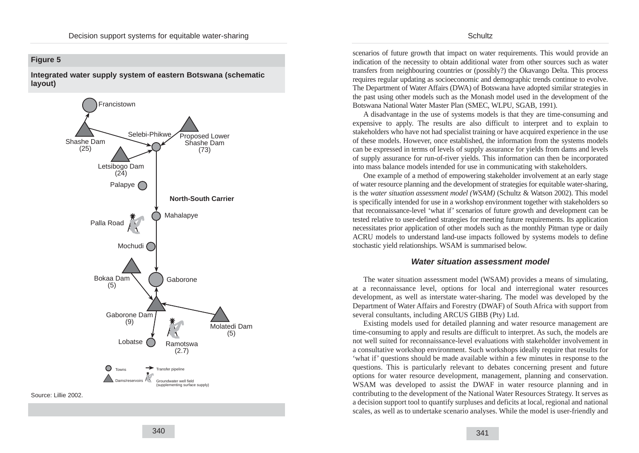## **Figure 5**

**Integrated water supply system of eastern Botswana (schematic layout)**



scenarios of future growth that impact on water requirements. This would provide an indication of the necessity to obtain additional water from other sources such as water transfers from neighbouring countries or (possibly?) the Okavango Delta. This process requires regular updating as socioeconomic and demographic trends continue to evolve. The Department of Water Affairs (DWA) of Botswana have adopted similar strategies in the past using other models such as the Monash model used in the development of the Botswana National Water Master Plan (SMEC, WLPU, SGAB, 1991).

A disadvantage in the use of systems models is that they are time-consuming and expensive to apply. The results are also difficult to interpret and to explain to stakeholders who have not had specialist training or have acquired experience in the use of these models. However, once established, the information from the systems models can be expressed in terms of levels of supply assurance for yields from dams and levels of supply assurance for run-of-river yields. This information can then be incorporated into mass balance models intended for use in communicating with stakeholders.

One example of a method of empowering stakeholder involvement at an early stage of water resource planning and the development of strategies for equitable water-sharing, is the *water situation assessment model (WSAM)* (Schultz & Watson 2002). This model is specifically intended for use in a workshop environment together with stakeholders so that reconnaissance-level 'what if' scenarios of future growth and development can be tested relative to user-defined strategies for meeting future requirements. Its application necessitates prior application of other models such as the monthly Pitman type or daily ACRU models to understand land-use impacts followed by systems models to define stochastic yield relationships. WSAM is summarised below.

#### **Water situation assessment model**

The water situation assessment model (WSAM) provides a means of simulating, at a reconnaissance level, options for local and interregional water resources development, as well as interstate water-sharing. The model was developed by the Department of Water Affairs and Forestry (DWAF) of South Africa with support from several consultants, including ARCUS GIBB (Pty) Ltd.

Existing models used for detailed planning and water resource management are time-consuming to apply and results are difficult to interpret. As such, the models are not well suited for reconnaissance-level evaluations with stakeholder involvement in a consultative workshop environment. Such workshops ideally require that results for 'what if' questions should be made available within a few minutes in response to the questions. This is particularly relevant to debates concerning present and future options for water resource development, management, planning and conservation. WSAM was developed to assist the DWAF in water resource planning and in contributing to the development of the National Water Resources Strategy. It serves as a decision support tool to quantify surpluses and deficits at local, regional and national scales, as well as to undertake scenario analyses. While the model is user-friendly and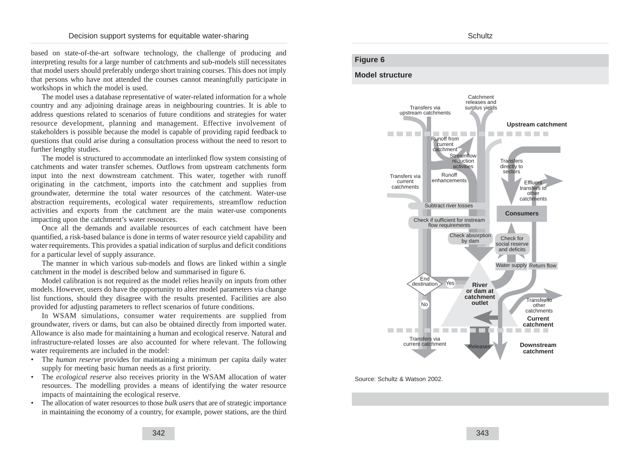based on state-of-the-art software technology, the challenge of producing and interpreting results for a large number of catchments and sub-models still necessitates that model users should preferably undergo short training courses. This does not imply that persons who have not attended the courses cannot meaningfully participate in workshops in which the model is used.

The model uses a database representative of water-related information for a whole country and any adjoining drainage areas in neighbouring countries. It is able to address questions related to scenarios of future conditions and strategies for water resource development, planning and management. Effective involvement of stakeholders is possible because the model is capable of providing rapid feedback to questions that could arise during a consultation process without the need to resort to further lengthy studies.

The model is structured to accommodate an interlinked flow system consisting of catchments and water transfer schemes. Outflows from upstream catchments form input into the next downstream catchment. This water, together with runoff originating in the catchment, imports into the catchment and supplies from groundwater, determine the total water resources of the catchment. Water-use abstraction requirements, ecological water requirements, streamflow reduction activities and exports from the catchment are the main water-use components impacting upon the catchment's water resources.

Once all the demands and available resources of each catchment have been quantified, a risk-based balance is done in terms of water resource yield capability and water requirements. This provides a spatial indication of surplus and deficit conditions for a particular level of supply assurance.

The manner in which various sub-models and flows are linked within a single catchment in the model is described below and summarised in figure 6.

Model calibration is not required as the model relies heavily on inputs from other models. However, users do have the opportunity to alter model parameters via change list functions, should they disagree with the results presented. Facilities are also provided for adjusting parameters to reflect scenarios of future conditions.

In WSAM simulations, consumer water requirements are supplied from groundwater, rivers or dams, but can also be obtained directly from imported water. Allowance is also made for maintaining a human and ecological reserve. Natural and infrastructure-related losses are also accounted for where relevant. The following water requirements are included in the model:

- The *human reserve* provides for maintaining a minimum per capita daily water supply for meeting basic human needs as a first priority.
- The *ecological reserve* also receives priority in the WSAM allocation of water resources. The modelling provides a means of identifying the water resource impacts of maintaining the ecological reserve.
- The allocation of water resources to those *bulk users* that are of strategic importance in maintaining the economy of a country, for example, power stations, are the third

#### Schultz

### **Figure 6**

### **Model structure**



Source: Schultz & Watson 2002.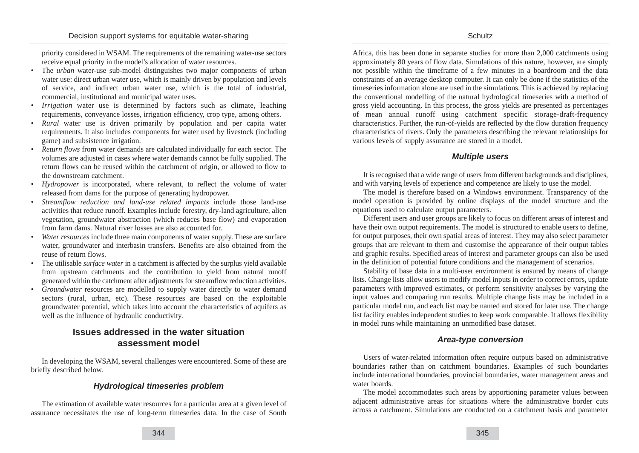priority considered in WSAM. The requirements of the remaining water-use sectors receive equal priority in the model's allocation of water resources.

- The *urban* water-use sub-model distinguishes two major components of urban water use: direct urban water use, which is mainly driven by population and levels of service, and indirect urban water use, which is the total of industrial, commercial, institutional and municipal water uses.
- *Irrigation* water use is determined by factors such as climate, leaching requirements, conveyance losses, irrigation efficiency, crop type, among others.
- *Rural* water use is driven primarily by population and per capita water requirements. It also includes components for water used by livestock (including game) and subsistence irrigation.
- *Return flows* from water demands are calculated individually for each sector. The volumes are adjusted in cases where water demands cannot be fully supplied. The return flows can be reused within the catchment of origin, or allowed to flow to the downstream catchment.
- *Hydropower* is incorporated, where relevant, to reflect the volume of water released from dams for the purpose of generating hydropower.
- *Streamflow reduction and land-use related impacts* include those land-use activities that reduce runoff. Examples include forestry, dry-land agriculture, alien vegetation, groundwater abstraction (which reduces base flow) and evaporation from farm dams. Natural river losses are also accounted for.
- *Water resources* include three main components of water supply. These are surface water, groundwater and interbasin transfers. Benefits are also obtained from the reuse of return flows.
- The utilisable *surface water* in a catchment is affected by the surplus yield available from upstream catchments and the contribution to yield from natural runoff generated within the catchment after adjustments for streamflow reduction activities.
- *Groundwater* resources are modelled to supply water directly to water demand sectors (rural, urban, etc). These resources are based on the exploitable groundwater potential, which takes into account the characteristics of aquifers as well as the influence of hydraulic conductivity.

## **Issues addressed in the water situation assessment model**

In developing the WSAM, several challenges were encountered. Some of these are briefly described below.

## **Hydrological timeseries problem**

The estimation of available water resources for a particular area at a given level of assurance necessitates the use of long-term timeseries data. In the case of South Africa, this has been done in separate studies for more than 2,000 catchments using approximately 80 years of flow data. Simulations of this nature, however, are simply not possible within the timeframe of a few minutes in a boardroom and the data constraints of an average desktop computer. It can only be done if the statistics of the timeseries information alone are used in the simulations. This is achieved by replacing the conventional modelling of the natural hydrological timeseries with a method of gross yield accounting. In this process, the gross yields are presented as percentages of mean annual runoff using catchment specific storage-draft-frequency characteristics. Further, the run-of-yields are reflected by the flow duration frequency characteristics of rivers. Only the parameters describing the relevant relationships for various levels of supply assurance are stored in a model.

### **Multiple users**

It is recognised that a wide range of users from different backgrounds and disciplines, and with varying levels of experience and competence are likely to use the model.

The model is therefore based on a Windows environment. Transparency of the model operation is provided by online displays of the model structure and the equations used to calculate output parameters.

Different users and user groups are likely to focus on different areas of interest and have their own output requirements. The model is structured to enable users to define, for output purposes, their own spatial areas of interest. They may also select parameter groups that are relevant to them and customise the appearance of their output tables and graphic results. Specified areas of interest and parameter groups can also be used in the definition of potential future conditions and the management of scenarios.

Stability of base data in a multi-user environment is ensured by means of change lists. Change lists allow users to modify model inputs in order to correct errors, update parameters with improved estimates, or perform sensitivity analyses by varying the input values and comparing run results. Multiple change lists may be included in a particular model run, and each list may be named and stored for later use. The change list facility enables independent studies to keep work comparable. It allows flexibility in model runs while maintaining an unmodified base dataset.

## **Area-type conversion**

Users of water-related information often require outputs based on administrative boundaries rather than on catchment boundaries. Examples of such boundaries include international boundaries, provincial boundaries, water management areas and water boards.

The model accommodates such areas by apportioning parameter values between adjacent administrative areas for situations where the administrative border cuts across a catchment. Simulations are conducted on a catchment basis and parameter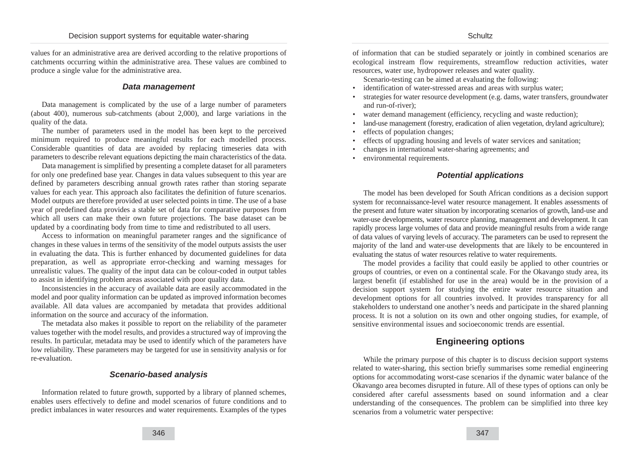values for an administrative area are derived according to the relative proportions of catchments occurring within the administrative area. These values are combined to produce a single value for the administrative area.

### **Data management**

Data management is complicated by the use of a large number of parameters (about 400), numerous sub-catchments (about 2,000), and large variations in the quality of the data.

The number of parameters used in the model has been kept to the perceived minimum required to produce meaningful results for each modelled process. Considerable quantities of data are avoided by replacing timeseries data with parameters to describe relevant equations depicting the main characteristics of the data.

Data management is simplified by presenting a complete dataset for all parameters for only one predefined base year. Changes in data values subsequent to this year are defined by parameters describing annual growth rates rather than storing separate values for each year. This approach also facilitates the definition of future scenarios. Model outputs are therefore provided at user selected points in time. The use of a base year of predefined data provides a stable set of data for comparative purposes from which all users can make their own future projections. The base dataset can be updated by a coordinating body from time to time and redistributed to all users.

Access to information on meaningful parameter ranges and the significance of changes in these values in terms of the sensitivity of the model outputs assists the user in evaluating the data. This is further enhanced by documented guidelines for data preparation, as well as appropriate error-checking and warning messages for unrealistic values. The quality of the input data can be colour-coded in output tables to assist in identifying problem areas associated with poor quality data.

Inconsistencies in the accuracy of available data are easily accommodated in the model and poor quality information can be updated as improved information becomes available. All data values are accompanied by metadata that provides additional information on the source and accuracy of the information.

The metadata also makes it possible to report on the reliability of the parameter values together with the model results, and provides a structured way of improving the results. In particular, metadata may be used to identify which of the parameters have low reliability. These parameters may be targeted for use in sensitivity analysis or for re-evaluation.

## **Scenario-based analysis**

Information related to future growth, supported by a library of planned schemes, enables users effectively to define and model scenarios of future conditions and to predict imbalances in water resources and water requirements. Examples of the types of information that can be studied separately or jointly in combined scenarios are ecological instream flow requirements, streamflow reduction activities, water resources, water use, hydropower releases and water quality.

Scenario-testing can be aimed at evaluating the following:

- identification of water-stressed areas and areas with surplus water;
- strategies for water resource development (e.g. dams, water transfers, groundwater and run-of-river);
- water demand management (efficiency, recycling and waste reduction);
- land-use management (forestry, eradication of alien vegetation, dryland agriculture);
- effects of population changes:
- effects of upgrading housing and levels of water services and sanitation;
- changes in international water-sharing agreements; and
- environmental requirements.

## **Potential applications**

The model has been developed for South African conditions as a decision support system for reconnaissance-level water resource management. It enables assessments of the present and future water situation by incorporating scenarios of growth, land-use and water-use developments, water resource planning, management and development. It can rapidly process large volumes of data and provide meaningful results from a wide range of data values of varying levels of accuracy. The parameters can be used to represent the majority of the land and water-use developments that are likely to be encountered in evaluating the status of water resources relative to water requirements.

The model provides a facility that could easily be applied to other countries or groups of countries, or even on a continental scale. For the Okavango study area, its largest benefit (if established for use in the area) would be in the provision of a decision support system for studying the entire water resource situation and development options for all countries involved. It provides transparency for all stakeholders to understand one another's needs and participate in the shared planning process. It is not a solution on its own and other ongoing studies, for example, of sensitive environmental issues and socioeconomic trends are essential.

## **Engineering options**

While the primary purpose of this chapter is to discuss decision support systems related to water-sharing, this section briefly summarises some remedial engineering options for accommodating worst-case scenarios if the dynamic water balance of the Okavango area becomes disrupted in future. All of these types of options can only be considered after careful assessments based on sound information and a clear understanding of the consequences. The problem can be simplified into three key scenarios from a volumetric water perspective: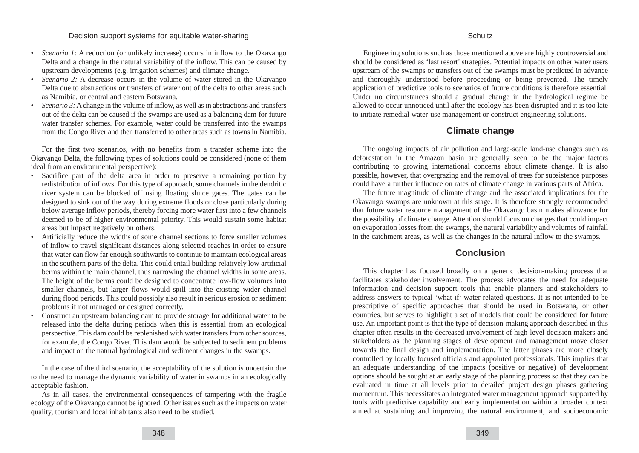- *Scenario 1:* A reduction (or unlikely increase) occurs in inflow to the Okavango Delta and a change in the natural variability of the inflow. This can be caused by upstream developments (e.g. irrigation schemes) and climate change.
- *Scenario 2:* A decrease occurs in the volume of water stored in the Okavango Delta due to abstractions or transfers of water out of the delta to other areas such as Namibia, or central and eastern Botswana.
- *Scenario 3:* A change in the volume of inflow, as well as in abstractions and transfers out of the delta can be caused if the swamps are used as a balancing dam for future water transfer schemes. For example, water could be transferred into the swamps from the Congo River and then transferred to other areas such as towns in Namibia.

For the first two scenarios, with no benefits from a transfer scheme into the Okavango Delta, the following types of solutions could be considered (none of them ideal from an environmental perspective):

- Sacrifice part of the delta area in order to preserve a remaining portion by redistribution of inflows. For this type of approach, some channels in the dendritic river system can be blocked off using floating sluice gates. The gates can be designed to sink out of the way during extreme floods or close particularly during below average inflow periods, thereby forcing more water first into a few channels deemed to be of higher environmental priority. This would sustain some habitat areas but impact negatively on others.
- Artificially reduce the widths of some channel sections to force smaller volumes of inflow to travel significant distances along selected reaches in order to ensure that water can flow far enough southwards to continue to maintain ecological areas in the southern parts of the delta. This could entail building relatively low artificial berms within the main channel, thus narrowing the channel widths in some areas. The height of the berms could be designed to concentrate low-flow volumes into smaller channels, but larger flows would spill into the existing wider channel during flood periods. This could possibly also result in serious erosion or sediment problems if not managed or designed correctly.
- Construct an upstream balancing dam to provide storage for additional water to be released into the delta during periods when this is essential from an ecological perspective. This dam could be replenished with water transfers from other sources, for example, the Congo River. This dam would be subjected to sediment problems and impact on the natural hydrological and sediment changes in the swamps.

In the case of the third scenario, the acceptability of the solution is uncertain due to the need to manage the dynamic variability of water in swamps in an ecologically acceptable fashion.

As in all cases, the environmental consequences of tampering with the fragile ecology of the Okavango cannot be ignored. Other issues such as the impacts on water quality, tourism and local inhabitants also need to be studied.

Schultz

Engineering solutions such as those mentioned above are highly controversial and should be considered as 'last resort' strategies. Potential impacts on other water users upstream of the swamps or transfers out of the swamps must be predicted in advance and thoroughly understood before proceeding or being prevented. The timely application of predictive tools to scenarios of future conditions is therefore essential. Under no circumstances should a gradual change in the hydrological regime be allowed to occur unnoticed until after the ecology has been disrupted and it is too late to initiate remedial water-use management or construct engineering solutions.

## **Climate change**

The ongoing impacts of air pollution and large-scale land-use changes such as deforestation in the Amazon basin are generally seen to be the major factors contributing to growing international concerns about climate change. It is also possible, however, that overgrazing and the removal of trees for subsistence purposes could have a further influence on rates of climate change in various parts of Africa.

The future magnitude of climate change and the associated implications for the Okavango swamps are unknown at this stage. It is therefore strongly recommended that future water resource management of the Okavango basin makes allowance for the possibility of climate change. Attention should focus on changes that could impact on evaporation losses from the swamps, the natural variability and volumes of rainfall in the catchment areas, as well as the changes in the natural inflow to the swamps.

## **Conclusion**

This chapter has focused broadly on a generic decision-making process that facilitates stakeholder involvement. The process advocates the need for adequate information and decision support tools that enable planners and stakeholders to address answers to typical 'what if' water-related questions. It is not intended to be prescriptive of specific approaches that should be used in Botswana, or other countries, but serves to highlight a set of models that could be considered for future use. An important point is that the type of decision-making approach described in this chapter often results in the decreased involvement of high-level decision makers and stakeholders as the planning stages of development and management move closer towards the final design and implementation. The latter phases are more closely controlled by locally focused officials and appointed professionals. This implies that an adequate understanding of the impacts (positive or negative) of development options should be sought at an early stage of the planning process so that they can be evaluated in time at all levels prior to detailed project design phases gathering momentum. This necessitates an integrated water management approach supported by tools with predictive capability and early implementation within a broader context aimed at sustaining and improving the natural environment, and socioeconomic